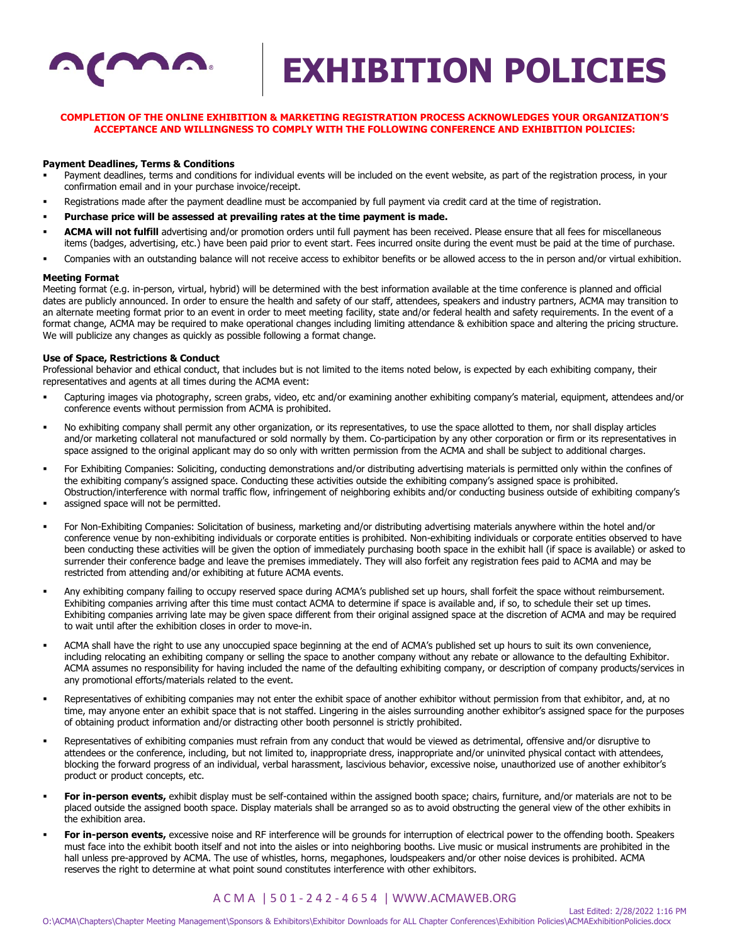

## **COMPLETION OF THE ONLINE EXHIBITION & MARKETING REGISTRATION PROCESS ACKNOWLEDGES YOUR ORGANIZATION'S ACCEPTANCE AND WILLINGNESS TO COMPLY WITH THE FOLLOWING CONFERENCE AND EXHIBITION POLICIES:**

### **Payment Deadlines, Terms & Conditions**

- Payment deadlines, terms and conditions for individual events will be included on the event website, as part of the registration process, in your confirmation email and in your purchase invoice/receipt.
- Registrations made after the payment deadline must be accompanied by full payment via credit card at the time of registration.
- Purchase price will be assessed at prevailing rates at the time payment is made.
- ACMA will not fulfill advertising and/or promotion orders until full payment has been received. Please ensure that all fees for miscellaneous items (badges, advertising, etc.) have been paid prior to event start. Fees incurred onsite during the event must be paid at the time of purchase.
- Companies with an outstanding balance will not receive access to exhibitor benefits or be allowed access to the in person and/or virtual exhibition.

#### **Meeting Format**

Meeting format (e.g. in-person, virtual, hybrid) will be determined with the best information available at the time conference is planned and official dates are publicly announced. In order to ensure the health and safety of our staff, attendees, speakers and industry partners, ACMA may transition to an alternate meeting format prior to an event in order to meet meeting facility, state and/or federal health and safety requirements. In the event of a format change, ACMA may be required to make operational changes including limiting attendance & exhibition space and altering the pricing structure. We will publicize any changes as quickly as possible following a format change.

#### **Use of Space, Restrictions & Conduct**

Professional behavior and ethical conduct, that includes but is not limited to the items noted below, is expected by each exhibiting company, their representatives and agents at all times during the ACMA event:

- Capturing images via photography, screen grabs, video, etc and/or examining another exhibiting company's material, equipment, attendees and/or conference events without permission from ACMA is prohibited.
- No exhibiting company shall permit any other organization, or its representatives, to use the space allotted to them, nor shall display articles and/or marketing collateral not manufactured or sold normally by them. Co-participation by any other corporation or firm or its representatives in space assigned to the original applicant may do so only with written permission from the ACMA and shall be subject to additional charges.
- For Exhibiting Companies: Soliciting, conducting demonstrations and/or distributing advertising materials is permitted only within the confines of the exhibiting company's assigned space. Conducting these activities outside the exhibiting company's assigned space is prohibited. Obstruction/interference with normal traffic flow, infringement of neighboring exhibits and/or conducting business outside of exhibiting company's
- assigned space will not be permitted.
- For Non-Exhibiting Companies: Solicitation of business, marketing and/or distributing advertising materials anywhere within the hotel and/or conference venue by non-exhibiting individuals or corporate entities is prohibited. Non-exhibiting individuals or corporate entities observed to have been conducting these activities will be given the option of immediately purchasing booth space in the exhibit hall (if space is available) or asked to surrender their conference badge and leave the premises immediately. They will also forfeit any registration fees paid to ACMA and may be restricted from attending and/or exhibiting at future ACMA events.
- Any exhibiting company failing to occupy reserved space during ACMA's published set up hours, shall forfeit the space without reimbursement. Exhibiting companies arriving after this time must contact ACMA to determine if space is available and, if so, to schedule their set up times. Exhibiting companies arriving late may be given space different from their original assigned space at the discretion of ACMA and may be required to wait until after the exhibition closes in order to move-in.
- ACMA shall have the right to use any unoccupied space beginning at the end of ACMA's published set up hours to suit its own convenience, including relocating an exhibiting company or selling the space to another company without any rebate or allowance to the defaulting Exhibitor. ACMA assumes no responsibility for having included the name of the defaulting exhibiting company, or description of company products/services in any promotional efforts/materials related to the event.
- Representatives of exhibiting companies may not enter the exhibit space of another exhibitor without permission from that exhibitor, and, at no time, may anyone enter an exhibit space that is not staffed. Lingering in the aisles surrounding another exhibitor's assigned space for the purposes of obtaining product information and/or distracting other booth personnel is strictly prohibited.
- Representatives of exhibiting companies must refrain from any conduct that would be viewed as detrimental, offensive and/or disruptive to attendees or the conference, including, but not limited to, inappropriate dress, inappropriate and/or uninvited physical contact with attendees, blocking the forward progress of an individual, verbal harassment, lascivious behavior, excessive noise, unauthorized use of another exhibitor's product or product concepts, etc.
- **For in-person events,** exhibit display must be self-contained within the assigned booth space; chairs, furniture, and/or materials are not to be placed outside the assigned booth space. Display materials shall be arranged so as to avoid obstructing the general view of the other exhibits in the exhibition area.
- For in-person events, excessive noise and RF interference will be grounds for interruption of electrical power to the offending booth. Speakers must face into the exhibit booth itself and not into the aisles or into neighboring booths. Live music or musical instruments are prohibited in the hall unless pre-approved by ACMA. The use of whistles, horns, megaphones, loudspeakers and/or other noise devices is prohibited. ACMA reserves the right to determine at what point sound constitutes interference with other exhibitors.

# A C M A | 5 0 1 - 2 4 2 - 4 6 5 4 | WWW.ACMAWEB.ORG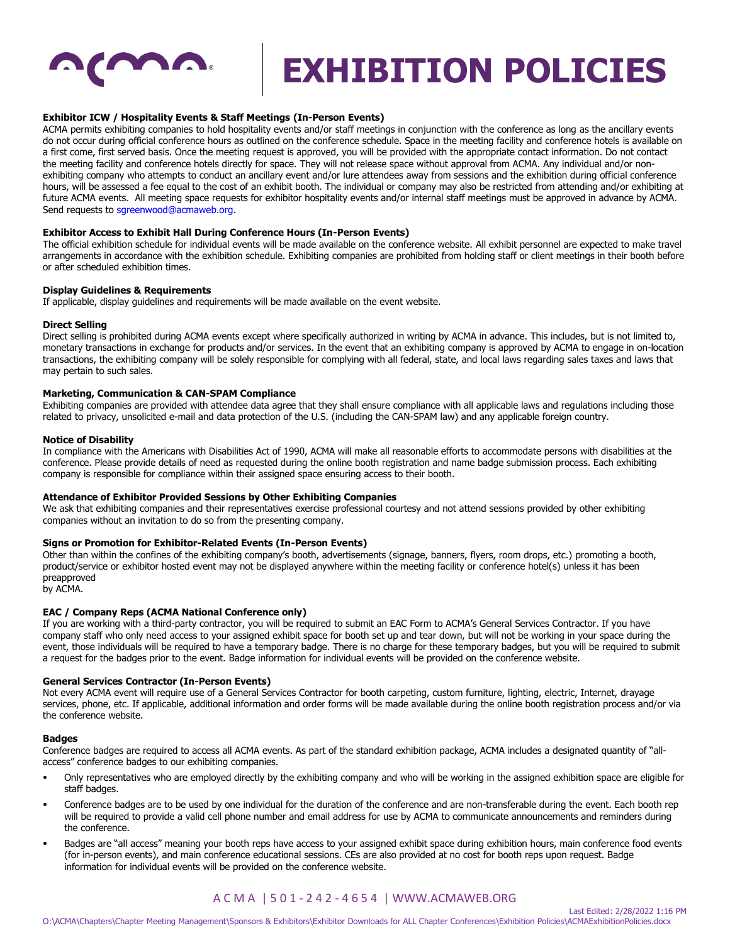

## **Exhibitor ICW / Hospitality Events & Staff Meetings (In-Person Events)**

ACMA permits exhibiting companies to hold hospitality events and/or staff meetings in conjunction with the conference as long as the ancillary events do not occur during official conference hours as outlined on the conference schedule. Space in the meeting facility and conference hotels is available on a first come, first served basis. Once the meeting request is approved, you will be provided with the appropriate contact information. Do not contact the meeting facility and conference hotels directly for space. They will not release space without approval from ACMA. Any individual and/or nonexhibiting company who attempts to conduct an ancillary event and/or lure attendees away from sessions and the exhibition during official conference hours, will be assessed a fee equal to the cost of an exhibit booth. The individual or company may also be restricted from attending and/or exhibiting at future ACMA events. All meeting space requests for exhibitor hospitality events and/or internal staff meetings must be approved in advance by ACMA. Send requests to sgreenwood@acmaweb.org.

# **Exhibitor Access to Exhibit Hall During Conference Hours (In-Person Events)**

The official exhibition schedule for individual events will be made available on the conference website. All exhibit personnel are expected to make travel arrangements in accordance with the exhibition schedule. Exhibiting companies are prohibited from holding staff or client meetings in their booth before or after scheduled exhibition times.

#### **Display Guidelines & Requirements**

If applicable, display guidelines and requirements will be made available on the event website.

#### **Direct Selling**

Direct selling is prohibited during ACMA events except where specifically authorized in writing by ACMA in advance. This includes, but is not limited to, monetary transactions in exchange for products and/or services. In the event that an exhibiting company is approved by ACMA to engage in on-location transactions, the exhibiting company will be solely responsible for complying with all federal, state, and local laws regarding sales taxes and laws that may pertain to such sales.

## **Marketing, Communication & CAN-SPAM Compliance**

Exhibiting companies are provided with attendee data agree that they shall ensure compliance with all applicable laws and regulations including those related to privacy, unsolicited e-mail and data protection of the U.S. (including the CAN-SPAM law) and any applicable foreign country.

#### **Notice of Disability**

In compliance with the Americans with Disabilities Act of 1990, ACMA will make all reasonable efforts to accommodate persons with disabilities at the conference. Please provide details of need as requested during the online booth registration and name badge submission process. Each exhibiting company is responsible for compliance within their assigned space ensuring access to their booth.

#### **Attendance of Exhibitor Provided Sessions by Other Exhibiting Companies**

We ask that exhibiting companies and their representatives exercise professional courtesy and not attend sessions provided by other exhibiting companies without an invitation to do so from the presenting company.

#### **Signs or Promotion for Exhibitor-Related Events (In-Person Events)**

Other than within the confines of the exhibiting company's booth, advertisements (signage, banners, flyers, room drops, etc.) promoting a booth, product/service or exhibitor hosted event may not be displayed anywhere within the meeting facility or conference hotel(s) unless it has been preapproved

by ACMA.

#### **EAC / Company Reps (ACMA National Conference only)**

If you are working with a third-party contractor, you will be required to submit an EAC Form to ACMA's General Services Contractor. If you have company staff who only need access to your assigned exhibit space for booth set up and tear down, but will not be working in your space during the event, those individuals will be required to have a temporary badge. There is no charge for these temporary badges, but you will be required to submit a request for the badges prior to the event. Badge information for individual events will be provided on the conference website.

#### **General Services Contractor (In-Person Events)**

Not every ACMA event will require use of a General Services Contractor for booth carpeting, custom furniture, lighting, electric, Internet, drayage services, phone, etc. If applicable, additional information and order forms will be made available during the online booth registration process and/or via the conference website.

#### **Badges**

Conference badges are required to access all ACMA events. As part of the standard exhibition package, ACMA includes a designated quantity of "allaccess" conference badges to our exhibiting companies.

- Only representatives who are employed directly by the exhibiting company and who will be working in the assigned exhibition space are eligible for staff badges.
- Conference badges are to be used by one individual for the duration of the conference and are non-transferable during the event. Each booth rep will be required to provide a valid cell phone number and email address for use by ACMA to communicate announcements and reminders during the conference.
- Badges are "all access" meaning your booth reps have access to your assigned exhibit space during exhibition hours, main conference food events (for in-person events), and main conference educational sessions. CEs are also provided at no cost for booth reps upon request. Badge information for individual events will be provided on the conference website.

# A C M A | 5 0 1 - 2 4 2 - 4 6 5 4 | WWW.ACMAWEB.ORG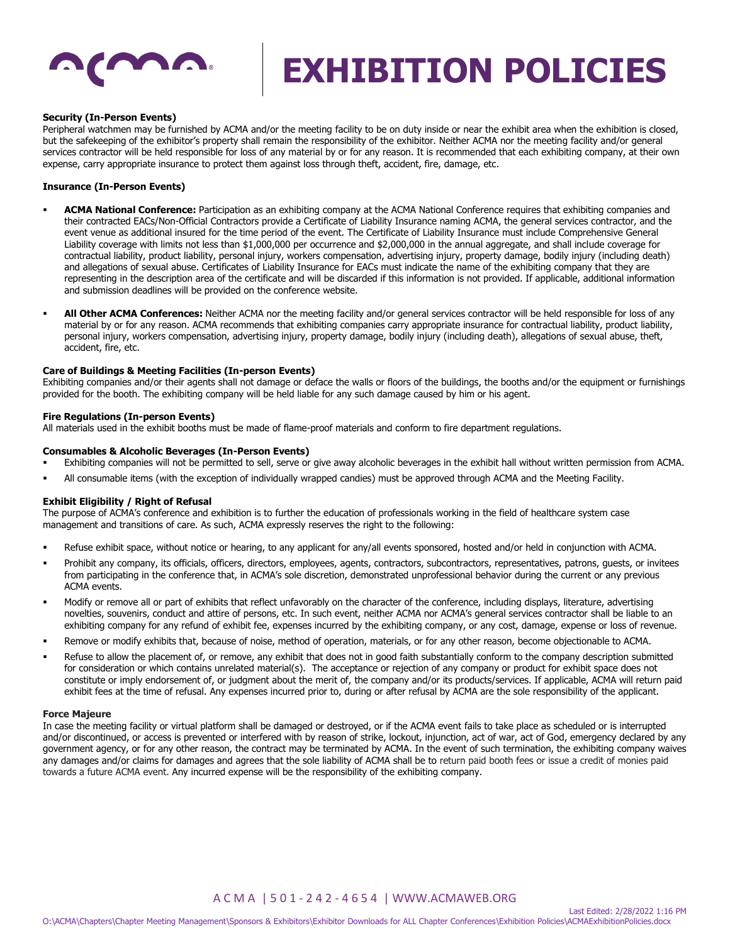

## **Security (In-Person Events)**

Peripheral watchmen may be furnished by ACMA and/or the meeting facility to be on duty inside or near the exhibit area when the exhibition is closed, but the safekeeping of the exhibitor's property shall remain the responsibility of the exhibitor. Neither ACMA nor the meeting facility and/or general services contractor will be held responsible for loss of any material by or for any reason. It is recommended that each exhibiting company, at their own expense, carry appropriate insurance to protect them against loss through theft, accident, fire, damage, etc.

# **Insurance (In-Person Events)**

- ACMA National Conference: Participation as an exhibiting company at the ACMA National Conference requires that exhibiting companies and their contracted EACs/Non-Official Contractors provide a Certificate of Liability Insurance naming ACMA, the general services contractor, and the event venue as additional insured for the time period of the event. The Certificate of Liability Insurance must include Comprehensive General Liability coverage with limits not less than \$1,000,000 per occurrence and \$2,000,000 in the annual aggregate, and shall include coverage for contractual liability, product liability, personal injury, workers compensation, advertising injury, property damage, bodily injury (including death) and allegations of sexual abuse. Certificates of Liability Insurance for EACs must indicate the name of the exhibiting company that they are representing in the description area of the certificate and will be discarded if this information is not provided. If applicable, additional information and submission deadlines will be provided on the conference website.
- All Other ACMA Conferences: Neither ACMA nor the meeting facility and/or general services contractor will be held responsible for loss of any material by or for any reason. ACMA recommends that exhibiting companies carry appropriate insurance for contractual liability, product liability, personal injury, workers compensation, advertising injury, property damage, bodily injury (including death), allegations of sexual abuse, theft, accident, fire, etc.

#### **Care of Buildings & Meeting Facilities (In-person Events)**

Exhibiting companies and/or their agents shall not damage or deface the walls or floors of the buildings, the booths and/or the equipment or furnishings provided for the booth. The exhibiting company will be held liable for any such damage caused by him or his agent.

#### **Fire Regulations (In-person Events)**

All materials used in the exhibit booths must be made of flame-proof materials and conform to fire department regulations.

### **Consumables & Alcoholic Beverages (In-Person Events)**

- Exhibiting companies will not be permitted to sell, serve or give away alcoholic beverages in the exhibit hall without written permission from ACMA.
- All consumable items (with the exception of individually wrapped candies) must be approved through ACMA and the Meeting Facility.

#### **Exhibit Eligibility / Right of Refusal**

The purpose of ACMA's conference and exhibition is to further the education of professionals working in the field of healthcare system case management and transitions of care. As such, ACMA expressly reserves the right to the following:

- Refuse exhibit space, without notice or hearing, to any applicant for any/all events sponsored, hosted and/or held in conjunction with ACMA.
- Prohibit any company, its officials, officers, directors, employees, agents, contractors, subcontractors, representatives, patrons, guests, or invitees from participating in the conference that, in ACMA's sole discretion, demonstrated unprofessional behavior during the current or any previous ACMA events.
- Modify or remove all or part of exhibits that reflect unfavorably on the character of the conference, including displays, literature, advertising novelties, souvenirs, conduct and attire of persons, etc. In such event, neither ACMA nor ACMA's general services contractor shall be liable to an exhibiting company for any refund of exhibit fee, expenses incurred by the exhibiting company, or any cost, damage, expense or loss of revenue.
- Remove or modify exhibits that, because of noise, method of operation, materials, or for any other reason, become objectionable to ACMA.
- Refuse to allow the placement of, or remove, any exhibit that does not in good faith substantially conform to the company description submitted for consideration or which contains unrelated material(s). The acceptance or rejection of any company or product for exhibit space does not constitute or imply endorsement of, or judgment about the merit of, the company and/or its products/services. If applicable, ACMA will return paid exhibit fees at the time of refusal. Any expenses incurred prior to, during or after refusal by ACMA are the sole responsibility of the applicant.

#### **Force Majeure**

In case the meeting facility or virtual platform shall be damaged or destroyed, or if the ACMA event fails to take place as scheduled or is interrupted and/or discontinued, or access is prevented or interfered with by reason of strike, lockout, injunction, act of war, act of God, emergency declared by any government agency, or for any other reason, the contract may be terminated by ACMA. In the event of such termination, the exhibiting company waives any damages and/or claims for damages and agrees that the sole liability of ACMA shall be to return paid booth fees or issue a credit of monies paid towards a future ACMA event. Any incurred expense will be the responsibility of the exhibiting company.